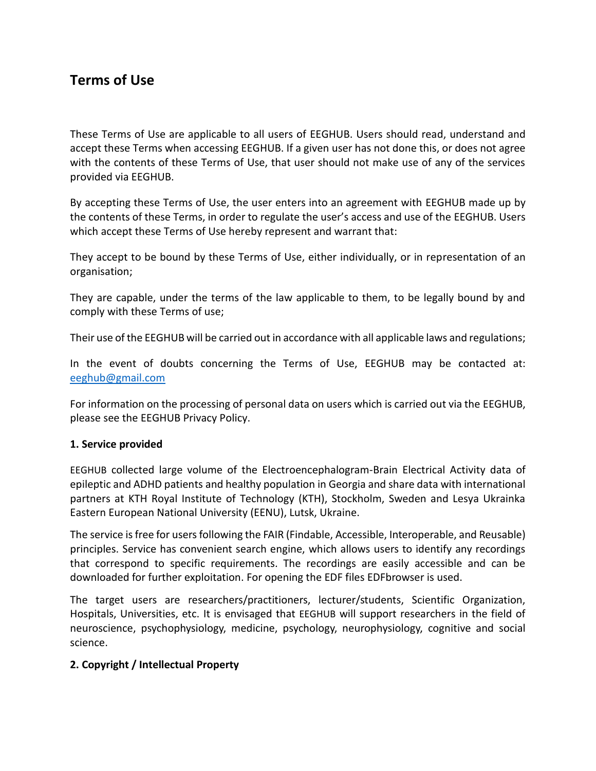# **Terms of Use**

These Terms of Use are applicable to all users of EEGHUB. Users should read, understand and accept these Terms when accessing EEGHUB. If a given user has not done this, or does not agree with the contents of these Terms of Use, that user should not make use of any of the services provided via EEGHUB.

By accepting these Terms of Use, the user enters into an agreement with EEGHUB made up by the contents of these Terms, in order to regulate the user's access and use of the EEGHUB. Users which accept these Terms of Use hereby represent and warrant that:

They accept to be bound by these Terms of Use, either individually, or in representation of an organisation;

They are capable, under the terms of the law applicable to them, to be legally bound by and comply with these Terms of use;

Their use of the EEGHUB will be carried out in accordance with all applicable laws and regulations;

In the event of doubts concerning the Terms of Use, EEGHUB may be contacted at: [eeghub@gmail.com](file:///C:/Users/hp/Desktop/eeghub@gmail.com)

For information on the processing of personal data on users which is carried out via the EEGHUB, please see the EEGHUB Privacy Policy.

#### **1. Service provided**

EEGHUB collected large volume of the Electroencephalogram-Brain Electrical Activity data of epileptic and ADHD patients and healthy population in Georgia and share data with international partners at KTH Royal Institute of Technology (KTH), Stockholm, Sweden and Lesya Ukrainka Eastern European National University (EENU), Lutsk, Ukraine.

The service is free for users following the FAIR (Findable, Accessible, Interoperable, and Reusable) principles. Service has convenient search engine, which allows users to identify any recordings that correspond to specific requirements. The recordings are easily accessible and can be downloaded for further exploitation. For opening the EDF files EDFbrowser is used.

The target users are researchers/practitioners, lecturer/students, Scientific Organization, Hospitals, Universities, etc. It is envisaged that EEGHUB will support researchers in the field of neuroscience, psychophysiology, medicine, psychology, neurophysiology, cognitive and social science.

## **2. Copyright / Intellectual Property**